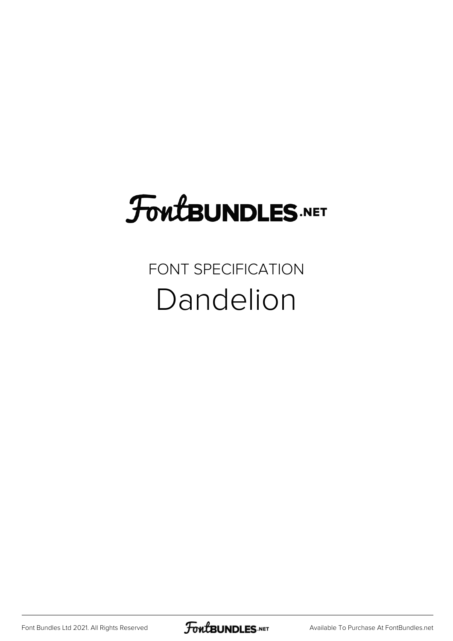## FoutBUNDLES.NET

## FONT SPECIFICATION Dandelion

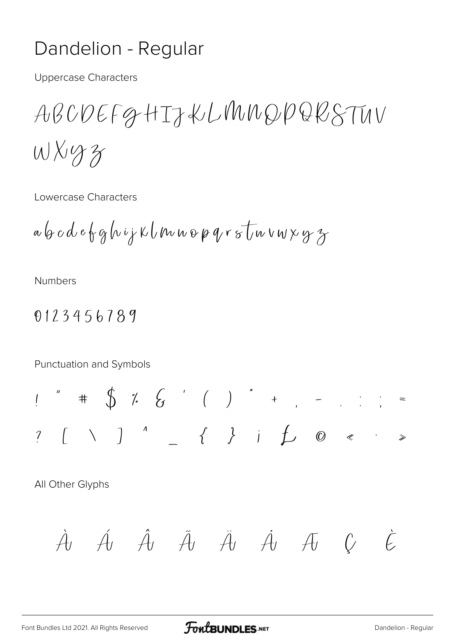## Dandelion - Regular

**Uppercase Characters** 

ABCDEFGHTJKLMMDPQRSTUV  $Wxyzz$ 

Lowercase Characters

 $a\,b\,c\,d\,e\,b\,g\,h\,i\,j\,k\,l\,m\,u\,o\,\rho\,q\,r\,s\,l\,w\,v\,w\,y\,z\,s$ 

**Numbers** 

## 0123456789

Punctuation and Symbols

All Other Glyphs

$$
\dot{A} \not\hat{A} \not\hat{A} \not\hat{A} \not\hat{A} \not\hat{A} \not\hat{A} \not\hat{A} \not\hat{C} \not\hat{C}
$$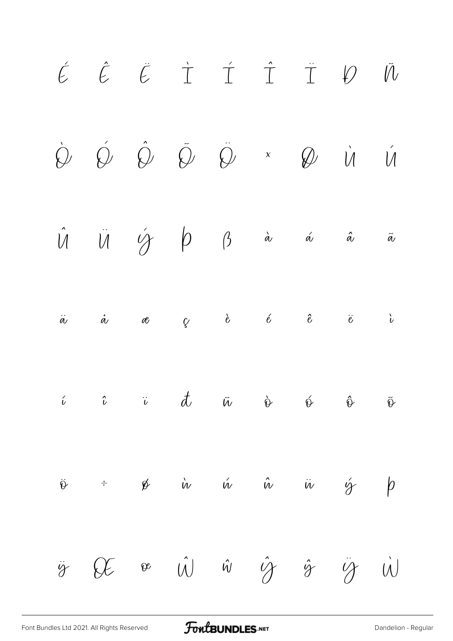

[Font Bundles Ltd 2021. All Rights Reserved](https://fontbundles.net/) **FoutBUNDLES.NET** Sequilar